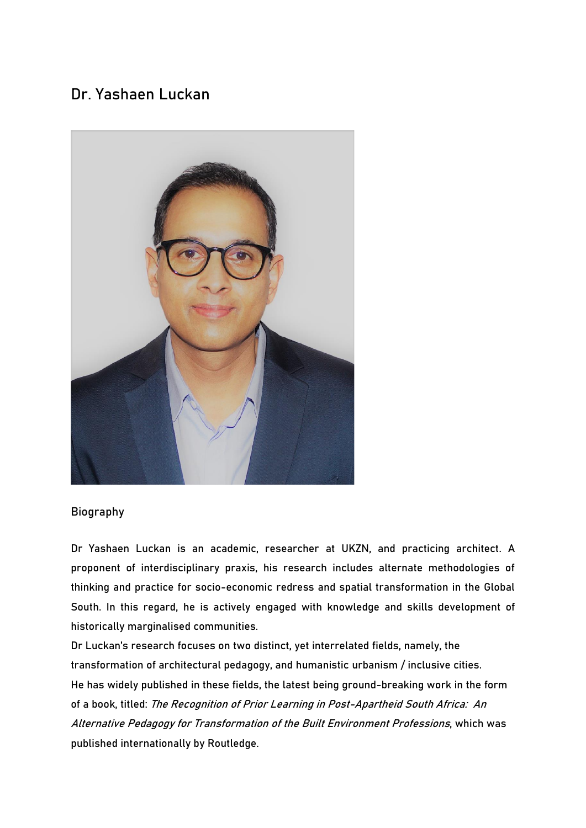## **Dr. Yashaen Luckan**



## **Biography**

Dr Yashaen Luckan is an academic, researcher at UKZN, and practicing architect. A proponent of interdisciplinary praxis, his research includes alternate methodologies of thinking and practice for socio-economic redress and spatial transformation in the Global South. In this regard, he is actively engaged with knowledge and skills development of historically marginalised communities.

Dr Luckan's research focuses on two distinct, yet interrelated fields, namely, the transformation of architectural pedagogy, and humanistic urbanism / inclusive cities. He has widely published in these fields, the latest being ground-breaking work in the form of a book, titled: The Recognition of Prior Learning in Post-Apartheid South Africa: An Alternative Pedagogy for Transformation of the Built Environment Professions, which was published internationally by Routledge.